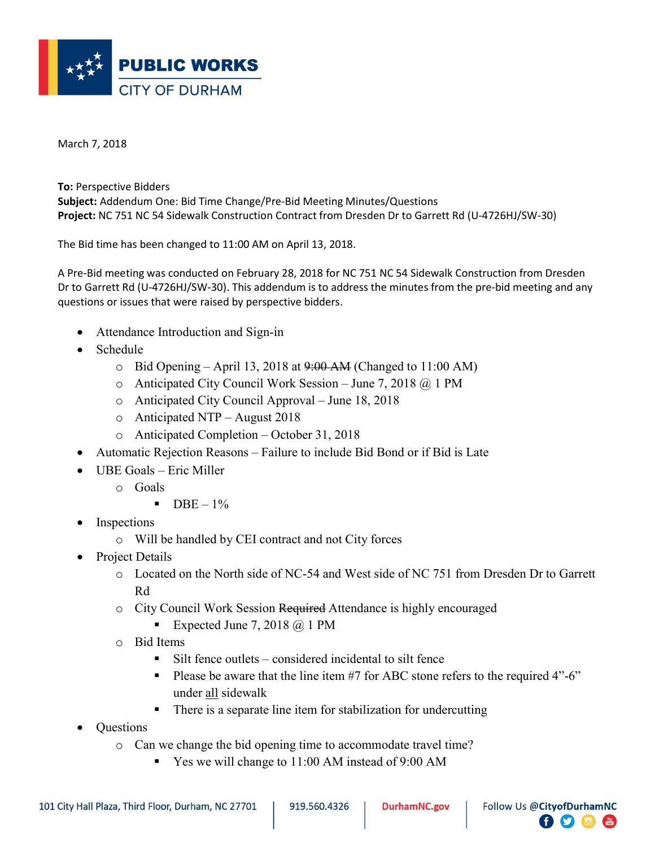

March 7, 2018

To: Perspective Bidders Subject: Addendum One: Bid Time Change/Pre-Bid Meeting Minutes/Questions Project: NC 751 NC 54 Sidewalk Construction Contract from Dresden Dr to Garrett Rd (U-4726HJ/SW-30)

The Bid time has been changed to 11:00 AM on April 13, 2018.

A Pre-Bid meeting was conducted on February 28, 2018 for NC 751 NC 54 Sidewalk Construction from Dresden Dr to Garrett Rd (U-4726HJ/SW-30). This addendum is to address the minutes from the pre-bid meeting and any questions or issues that were raised by perspective bidders.

- Attendance Introduction and Sign-in
- Schedule
	- $\circ$  Bid Opening April 13, 2018 at  $9:00$  AM (Changed to 11:00 AM)
	- $\circ$  Anticipated City Council Work Session June 7, 2018  $\omega$  1 PM
	- o Anticipated City Council Approval June 18, 2018
	- o Anticipated NTP August 2018
	- o Anticipated Completion October 31, 2018
- Automatic Rejection Reasons Failure to include Bid Bond or if Bid is Late
- UBE Goals Eric Miller
	- o Goals
		- $\bullet$  DBE 1%
- Inspections
	- o Will be handled by CEI contract and not City forces
- Project Details
	- o Located on the North side of NC-54 and West side of NC 751 from Dresden Dr to Garrett Rd
	- o City Council Work Session Required Attendance is highly encouraged
		- Expected June 7, 2018  $\omega$  1 PM
	- o Bid Items
		- Silt fence outlets considered incidental to silt fence
		- Please be aware that the line item  $#7$  for ABC stone refers to the required  $4"$ -6" under all sidewalk
		- There is a separate line item for stabilization for undercutting
- **Ouestions** 
	- o Can we change the bid opening time to accommodate travel time?
		- Yes we will change to 11:00 AM instead of 9:00 AM